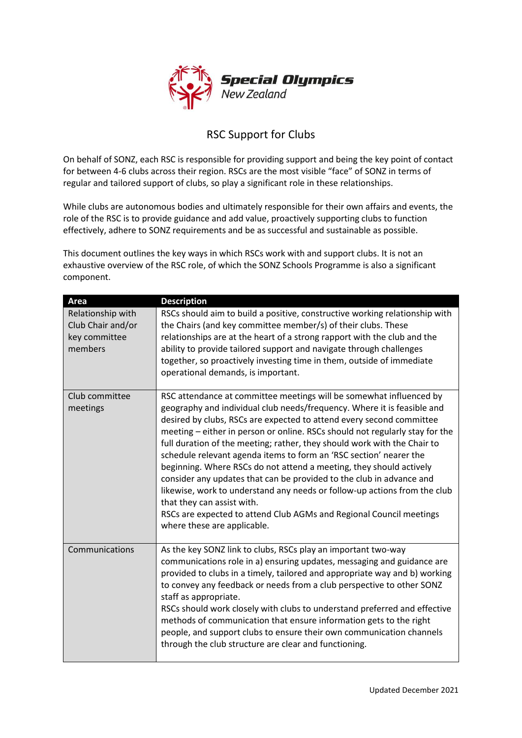

## RSC Support for Clubs

On behalf of SONZ, each RSC is responsible for providing support and being the key point of contact for between 4-6 clubs across their region. RSCs are the most visible "face" of SONZ in terms of regular and tailored support of clubs, so play a significant role in these relationships.

While clubs are autonomous bodies and ultimately responsible for their own affairs and events, the role of the RSC is to provide guidance and add value, proactively supporting clubs to function effectively, adhere to SONZ requirements and be as successful and sustainable as possible.

This document outlines the key ways in which RSCs work with and support clubs. It is not an exhaustive overview of the RSC role, of which the SONZ Schools Programme is also a significant component.

| Area                                                               | <b>Description</b>                                                                                                                                                                                                                                                                                                                                                                                                                                                                                                                                                                                                                                                                                                                                                                                                       |
|--------------------------------------------------------------------|--------------------------------------------------------------------------------------------------------------------------------------------------------------------------------------------------------------------------------------------------------------------------------------------------------------------------------------------------------------------------------------------------------------------------------------------------------------------------------------------------------------------------------------------------------------------------------------------------------------------------------------------------------------------------------------------------------------------------------------------------------------------------------------------------------------------------|
| Relationship with<br>Club Chair and/or<br>key committee<br>members | RSCs should aim to build a positive, constructive working relationship with<br>the Chairs (and key committee member/s) of their clubs. These<br>relationships are at the heart of a strong rapport with the club and the<br>ability to provide tailored support and navigate through challenges<br>together, so proactively investing time in them, outside of immediate<br>operational demands, is important.                                                                                                                                                                                                                                                                                                                                                                                                           |
| Club committee<br>meetings                                         | RSC attendance at committee meetings will be somewhat influenced by<br>geography and individual club needs/frequency. Where it is feasible and<br>desired by clubs, RSCs are expected to attend every second committee<br>meeting – either in person or online. RSCs should not regularly stay for the<br>full duration of the meeting; rather, they should work with the Chair to<br>schedule relevant agenda items to form an 'RSC section' nearer the<br>beginning. Where RSCs do not attend a meeting, they should actively<br>consider any updates that can be provided to the club in advance and<br>likewise, work to understand any needs or follow-up actions from the club<br>that they can assist with.<br>RSCs are expected to attend Club AGMs and Regional Council meetings<br>where these are applicable. |
| Communications                                                     | As the key SONZ link to clubs, RSCs play an important two-way<br>communications role in a) ensuring updates, messaging and guidance are<br>provided to clubs in a timely, tailored and appropriate way and b) working<br>to convey any feedback or needs from a club perspective to other SONZ<br>staff as appropriate.<br>RSCs should work closely with clubs to understand preferred and effective<br>methods of communication that ensure information gets to the right<br>people, and support clubs to ensure their own communication channels<br>through the club structure are clear and functioning.                                                                                                                                                                                                              |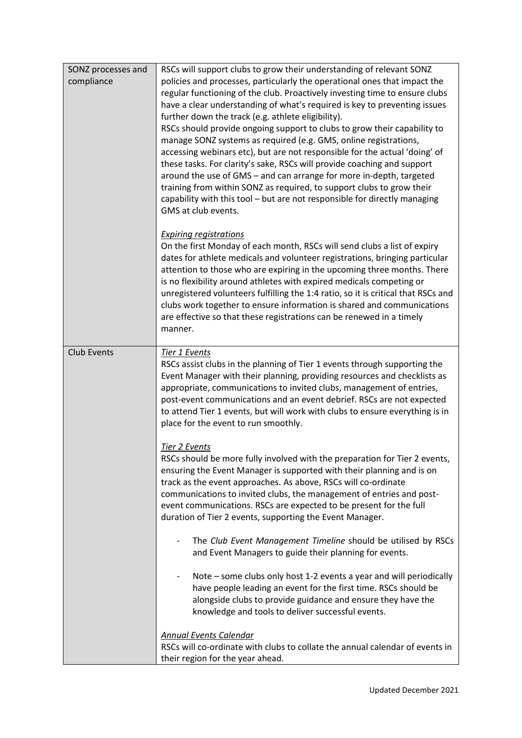| SONZ processes and<br>compliance | RSCs will support clubs to grow their understanding of relevant SONZ<br>policies and processes, particularly the operational ones that impact the<br>regular functioning of the club. Proactively investing time to ensure clubs<br>have a clear understanding of what's required is key to preventing issues<br>further down the track (e.g. athlete eligibility).<br>RSCs should provide ongoing support to clubs to grow their capability to<br>manage SONZ systems as required (e.g. GMS, online registrations,<br>accessing webinars etc), but are not responsible for the actual 'doing' of<br>these tasks. For clarity's sake, RSCs will provide coaching and support<br>around the use of GMS - and can arrange for more in-depth, targeted<br>training from within SONZ as required, to support clubs to grow their<br>capability with this tool - but are not responsible for directly managing<br>GMS at club events. |
|----------------------------------|----------------------------------------------------------------------------------------------------------------------------------------------------------------------------------------------------------------------------------------------------------------------------------------------------------------------------------------------------------------------------------------------------------------------------------------------------------------------------------------------------------------------------------------------------------------------------------------------------------------------------------------------------------------------------------------------------------------------------------------------------------------------------------------------------------------------------------------------------------------------------------------------------------------------------------|
|                                  | <b>Expiring registrations</b><br>On the first Monday of each month, RSCs will send clubs a list of expiry<br>dates for athlete medicals and volunteer registrations, bringing particular<br>attention to those who are expiring in the upcoming three months. There<br>is no flexibility around athletes with expired medicals competing or<br>unregistered volunteers fulfilling the 1:4 ratio, so it is critical that RSCs and<br>clubs work together to ensure information is shared and communications<br>are effective so that these registrations can be renewed in a timely<br>manner.                                                                                                                                                                                                                                                                                                                                    |
| <b>Club Events</b>               | Tier 1 Events<br>RSCs assist clubs in the planning of Tier 1 events through supporting the<br>Event Manager with their planning, providing resources and checklists as<br>appropriate, communications to invited clubs, management of entries,<br>post-event communications and an event debrief. RSCs are not expected<br>to attend Tier 1 events, but will work with clubs to ensure everything is in<br>place for the event to run smoothly.                                                                                                                                                                                                                                                                                                                                                                                                                                                                                  |
|                                  | Tier 2 Events<br>RSCs should be more fully involved with the preparation for Tier 2 events,<br>ensuring the Event Manager is supported with their planning and is on<br>track as the event approaches. As above, RSCs will co-ordinate<br>communications to invited clubs, the management of entries and post-<br>event communications. RSCs are expected to be present for the full<br>duration of Tier 2 events, supporting the Event Manager.                                                                                                                                                                                                                                                                                                                                                                                                                                                                                 |
|                                  | The Club Event Management Timeline should be utilised by RSCs<br>and Event Managers to guide their planning for events.                                                                                                                                                                                                                                                                                                                                                                                                                                                                                                                                                                                                                                                                                                                                                                                                          |
|                                  | Note – some clubs only host 1-2 events a year and will periodically<br>have people leading an event for the first time. RSCs should be<br>alongside clubs to provide guidance and ensure they have the<br>knowledge and tools to deliver successful events.                                                                                                                                                                                                                                                                                                                                                                                                                                                                                                                                                                                                                                                                      |
|                                  | <b>Annual Events Calendar</b><br>RSCs will co-ordinate with clubs to collate the annual calendar of events in<br>their region for the year ahead.                                                                                                                                                                                                                                                                                                                                                                                                                                                                                                                                                                                                                                                                                                                                                                                |